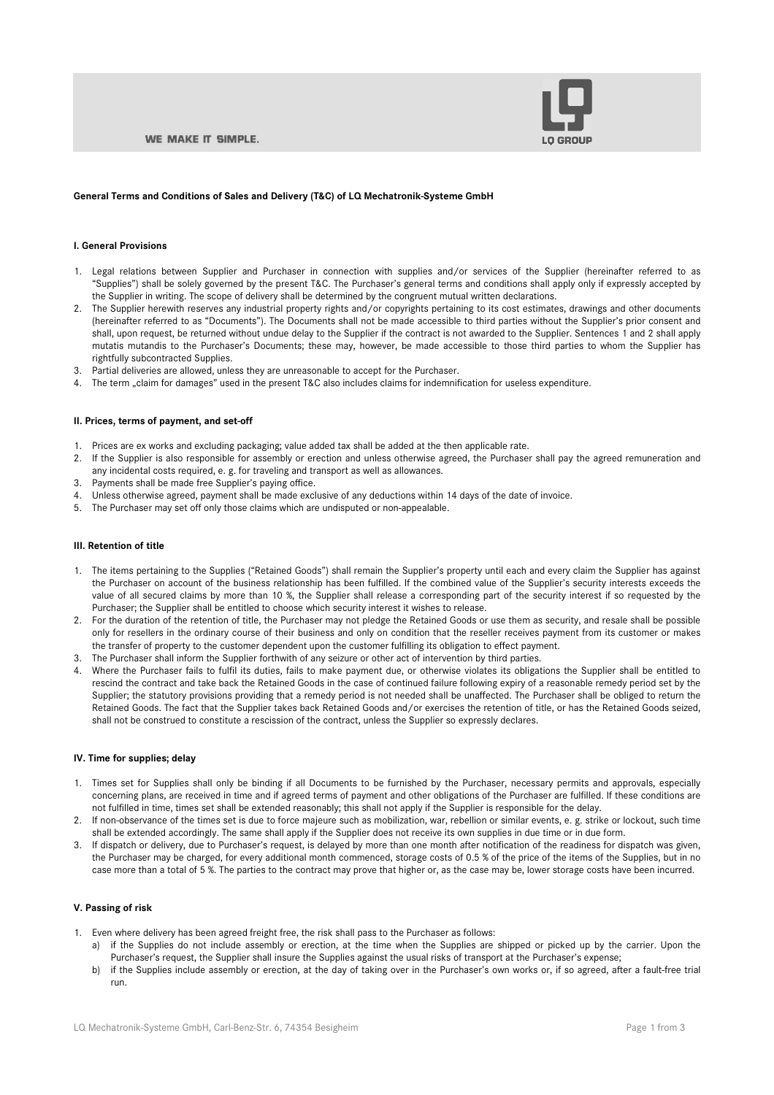

## **General Terms and Conditions of Sales and Delivery (T&C) of LQ Mechatronik-Systeme GmbH**

#### **I. General Provisions**

- 1. Legal relations between Supplier and Purchaser in connection with supplies and/or services of the Supplier (hereinafter referred to as "Supplies") shall be solely governed by the present T&C. The Purchaser's general terms and conditions shall apply only if expressly accepted by the Supplier in writing. The scope of delivery shall be determined by the congruent mutual written declarations.
- 2. The Supplier herewith reserves any industrial property rights and/or copyrights pertaining to its cost estimates, drawings and other documents (hereinafter referred to as "Documents"). The Documents shall not be made accessible to third parties without the Supplier's prior consent and shall, upon request, be returned without undue delay to the Supplier if the contract is not awarded to the Supplier. Sentences 1 and 2 shall apply mutatis mutandis to the Purchaser's Documents; these may, however, be made accessible to those third parties to whom the Supplier has rightfully subcontracted Supplies.
- 3. Partial deliveries are allowed, unless they are unreasonable to accept for the Purchaser.
- 4. The term "claim for damages" used in the present T&C also includes claims for indemnification for useless expenditure.

# **II. Prices, terms of payment, and set-off**

- 1. Prices are ex works and excluding packaging; value added tax shall be added at the then applicable rate.
- 2. If the Supplier is also responsible for assembly or erection and unless otherwise agreed, the Purchaser shall pay the agreed remuneration and any incidental costs required, e. g. for traveling and transport as well as allowances.
- 3. Payments shall be made free Supplier's paying office.
- Unless otherwise agreed, payment shall be made exclusive of any deductions within 14 days of the date of invoice.
- 5. The Purchaser may set off only those claims which are undisputed or non-appealable.

### **III. Retention of title**

- 1. The items pertaining to the Supplies ("Retained Goods") shall remain the Supplier's property until each and every claim the Supplier has against the Purchaser on account of the business relationship has been fulfilled. If the combined value of the Supplier's security interests exceeds the value of all secured claims by more than 10 %, the Supplier shall release a corresponding part of the security interest if so requested by the Purchaser; the Supplier shall be entitled to choose which security interest it wishes to release.
- 2. For the duration of the retention of title, the Purchaser may not pledge the Retained Goods or use them as security, and resale shall be possible only for resellers in the ordinary course of their business and only on condition that the reseller receives payment from its customer or makes the transfer of property to the customer dependent upon the customer fulfilling its obligation to effect payment.
- 3. The Purchaser shall inform the Supplier forthwith of any seizure or other act of intervention by third parties.
- 4. Where the Purchaser fails to fulfil its duties, fails to make payment due, or otherwise violates its obligations the Supplier shall be entitled to rescind the contract and take back the Retained Goods in the case of continued failure following expiry of a reasonable remedy period set by the Supplier; the statutory provisions providing that a remedy period is not needed shall be unaffected. The Purchaser shall be obliged to return the Retained Goods. The fact that the Supplier takes back Retained Goods and/or exercises the retention of title, or has the Retained Goods seized, shall not be construed to constitute a rescission of the contract, unless the Supplier so expressly declares.

#### **IV. Time for supplies; delay**

- 1. Times set for Supplies shall only be binding if all Documents to be furnished by the Purchaser, necessary permits and approvals, especially concerning plans, are received in time and if agreed terms of payment and other obligations of the Purchaser are fulfilled. If these conditions are not fulfilled in time, times set shall be extended reasonably; this shall not apply if the Supplier is responsible for the delay.
- 2. If non-observance of the times set is due to force majeure such as mobilization, war, rebellion or similar events, e. g. strike or lockout, such time shall be extended accordingly. The same shall apply if the Supplier does not receive its own supplies in due time or in due form.
- 3. If dispatch or delivery, due to Purchaser's request, is delayed by more than one month after notification of the readiness for dispatch was given, the Purchaser may be charged, for every additional month commenced, storage costs of 0.5 % of the price of the items of the Supplies, but in no case more than a total of 5 %. The parties to the contract may prove that higher or, as the case may be, lower storage costs have been incurred.

# **V. Passing of risk**

- 1. Even where delivery has been agreed freight free, the risk shall pass to the Purchaser as follows:
	- a) if the Supplies do not include assembly or erection, at the time when the Supplies are shipped or picked up by the carrier. Upon the Purchaser's request, the Supplier shall insure the Supplies against the usual risks of transport at the Purchaser's expense;
	- b) if the Supplies include assembly or erection, at the day of taking over in the Purchaser's own works or, if so agreed, after a fault-free trial run.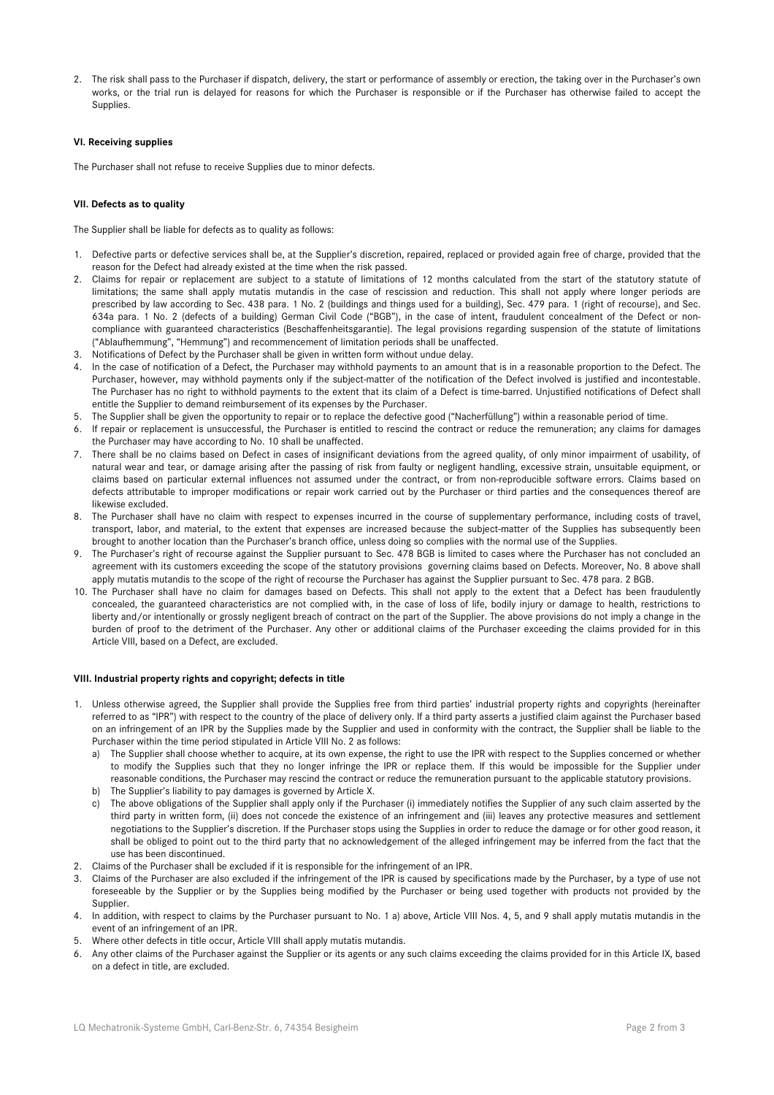2. The risk shall pass to the Purchaser if dispatch, delivery, the start or performance of assembly or erection, the taking over in the Purchaser's own works, or the trial run is delayed for reasons for which the Purchaser is responsible or if the Purchaser has otherwise failed to accept the Supplies.

## **VI. Receiving supplies**

The Purchaser shall not refuse to receive Supplies due to minor defects.

## **VII. Defects as to quality**

The Supplier shall be liable for defects as to quality as follows:

- 1. Defective parts or defective services shall be, at the Supplier's discretion, repaired, replaced or provided again free of charge, provided that the reason for the Defect had already existed at the time when the risk passed.
- 2. Claims for repair or replacement are subject to a statute of limitations of 12 months calculated from the start of the statutory statute of limitations; the same shall apply mutatis mutandis in the case of rescission and reduction. This shall not apply where longer periods are prescribed by law according to Sec. 438 para. 1 No. 2 (buildings and things used for a building), Sec. 479 para. 1 (right of recourse), and Sec. 634a para. 1 No. 2 (defects of a building) German Civil Code ("BGB"), in the case of intent, fraudulent concealment of the Defect or noncompliance with guaranteed characteristics (Beschaffenheitsgarantie). The legal provisions regarding suspension of the statute of limitations ("Ablaufhemmung", "Hemmung") and recommencement of limitation periods shall be unaffected.
- 3. Notifications of Defect by the Purchaser shall be given in written form without undue delay.
- 4. In the case of notification of a Defect, the Purchaser may withhold payments to an amount that is in a reasonable proportion to the Defect. The Purchaser, however, may withhold payments only if the subject-matter of the notification of the Defect involved is justified and incontestable. The Purchaser has no right to withhold payments to the extent that its claim of a Defect is time-barred. Unjustified notifications of Defect shall entitle the Supplier to demand reimbursement of its expenses by the Purchaser.
- 5. The Supplier shall be given the opportunity to repair or to replace the defective good ("Nacherfüllung") within a reasonable period of time.
- 6. If repair or replacement is unsuccessful, the Purchaser is entitled to rescind the contract or reduce the remuneration; any claims for damages the Purchaser may have according to No. 10 shall be unaffected.
- 7. There shall be no claims based on Defect in cases of insignificant deviations from the agreed quality, of only minor impairment of usability, of natural wear and tear, or damage arising after the passing of risk from faulty or negligent handling, excessive strain, unsuitable equipment, or claims based on particular external influences not assumed under the contract, or from non-reproducible software errors. Claims based on defects attributable to improper modifications or repair work carried out by the Purchaser or third parties and the consequences thereof are likewise excluded.
- 8. The Purchaser shall have no claim with respect to expenses incurred in the course of supplementary performance, including costs of travel, transport, labor, and material, to the extent that expenses are increased because the subject-matter of the Supplies has subsequently been brought to another location than the Purchaser's branch office, unless doing so complies with the normal use of the Supplies.
- 9. The Purchaser's right of recourse against the Supplier pursuant to Sec. 478 BGB is limited to cases where the Purchaser has not concluded an agreement with its customers exceeding the scope of the statutory provisions governing claims based on Defects. Moreover, No. 8 above shall apply mutatis mutandis to the scope of the right of recourse the Purchaser has against the Supplier pursuant to Sec. 478 para. 2 BGB.
- 10. The Purchaser shall have no claim for damages based on Defects. This shall not apply to the extent that a Defect has been fraudulently concealed, the guaranteed characteristics are not complied with, in the case of loss of life, bodily injury or damage to health, restrictions to liberty and/or intentionally or grossly negligent breach of contract on the part of the Supplier. The above provisions do not imply a change in the burden of proof to the detriment of the Purchaser. Any other or additional claims of the Purchaser exceeding the claims provided for in this Article VIII, based on a Defect, are excluded.

### **VIII. Industrial property rights and copyright; defects in title**

- 1. Unless otherwise agreed, the Supplier shall provide the Supplies free from third parties' industrial property rights and copyrights (hereinafter referred to as "IPR") with respect to the country of the place of delivery only. If a third party asserts a justified claim against the Purchaser based on an infringement of an IPR by the Supplies made by the Supplier and used in conformity with the contract, the Supplier shall be liable to the Purchaser within the time period stipulated in Article VIII No. 2 as follows:
	- a) The Supplier shall choose whether to acquire, at its own expense, the right to use the IPR with respect to the Supplies concerned or whether to modify the Supplies such that they no longer infringe the IPR or replace them. If this would be impossible for the Supplier under reasonable conditions, the Purchaser may rescind the contract or reduce the remuneration pursuant to the applicable statutory provisions.
	- b) The Supplier's liability to pay damages is governed by Article X.
	- c) The above obligations of the Supplier shall apply only if the Purchaser (i) immediately notifies the Supplier of any such claim asserted by the third party in written form, (ii) does not concede the existence of an infringement and (iii) leaves any protective measures and settlement negotiations to the Supplier's discretion. If the Purchaser stops using the Supplies in order to reduce the damage or for other good reason, it shall be obliged to point out to the third party that no acknowledgement of the alleged infringement may be inferred from the fact that the use has been discontinued.
- 2. Claims of the Purchaser shall be excluded if it is responsible for the infringement of an IPR.
- 3. Claims of the Purchaser are also excluded if the infringement of the IPR is caused by specifications made by the Purchaser, by a type of use not foreseeable by the Supplier or by the Supplies being modified by the Purchaser or being used together with products not provided by the Supplier.
- 4. In addition, with respect to claims by the Purchaser pursuant to No. 1 a) above, Article VIII Nos. 4, 5, and 9 shall apply mutatis mutandis in the event of an infringement of an IPR.
- 5. Where other defects in title occur, Article VIII shall apply mutatis mutandis.
- 6. Any other claims of the Purchaser against the Supplier or its agents or any such claims exceeding the claims provided for in this Article IX, based on a defect in title, are excluded.